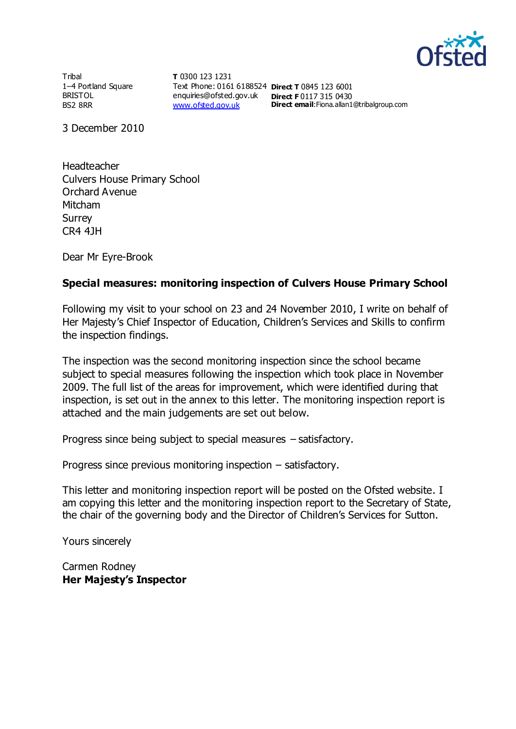

**Tribal** 1–4 Portland Square BRISTOL BS2 8RR

**T** 0300 123 1231 Text Phone: 0161 6188524 **Direct T** 0845 123 6001 enquiries@ofsted.gov.uk **Direct F** 0117 315 0430 [www.ofsted.gov.uk](http://www.ofsted.gov.uk/)

**Direct email**:Fiona.allan1@tribalgroup.com

3 December 2010

Headteacher Culvers House Primary School Orchard Avenue Mitcham Surrey CR4 4JH

Dear Mr Eyre-Brook

## **Special measures: monitoring inspection of Culvers House Primary School**

Following my visit to your school on 23 and 24 November 2010, I write on behalf of Her Majesty's Chief Inspector of Education, Children's Services and Skills to confirm the inspection findings.

The inspection was the second monitoring inspection since the school became subject to special measures following the inspection which took place in November 2009. The full list of the areas for improvement, which were identified during that inspection, is set out in the annex to this letter. The monitoring inspection report is attached and the main judgements are set out below.

Progress since being subject to special measures – satisfactory.

Progress since previous monitoring inspection – satisfactory.

This letter and monitoring inspection report will be posted on the Ofsted website. I am copying this letter and the monitoring inspection report to the Secretary of State, the chair of the governing body and the Director of Children's Services for Sutton.

Yours sincerely

Carmen Rodney **Her Majesty's Inspector**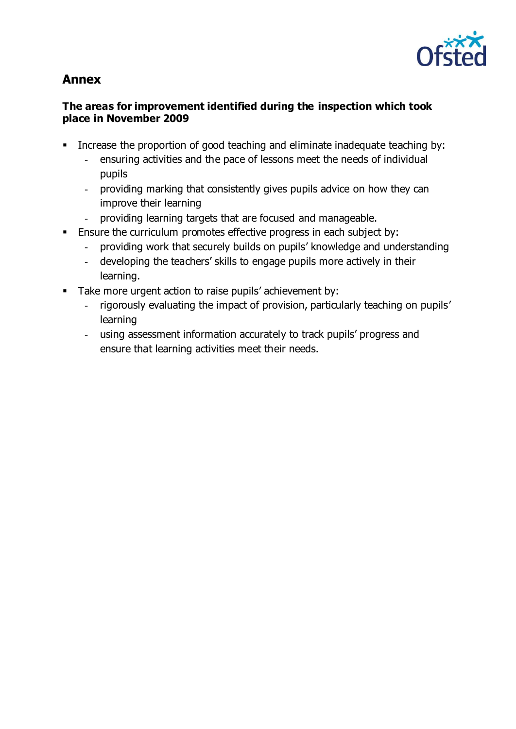

# **Annex**

## **The areas for improvement identified during the inspection which took place in November 2009**

- Increase the proportion of good teaching and eliminate inadequate teaching by:
	- ensuring activities and the pace of lessons meet the needs of individual pupils
	- providing marking that consistently gives pupils advice on how they can improve their learning
	- providing learning targets that are focused and manageable.
- Ensure the curriculum promotes effective progress in each subject by:
	- providing work that securely builds on pupils' knowledge and understanding
	- developing the teachers' skills to engage pupils more actively in their learning.
- Take more urgent action to raise pupils' achievement by:
	- rigorously evaluating the impact of provision, particularly teaching on pupils' learning
	- using assessment information accurately to track pupils' progress and ensure that learning activities meet their needs.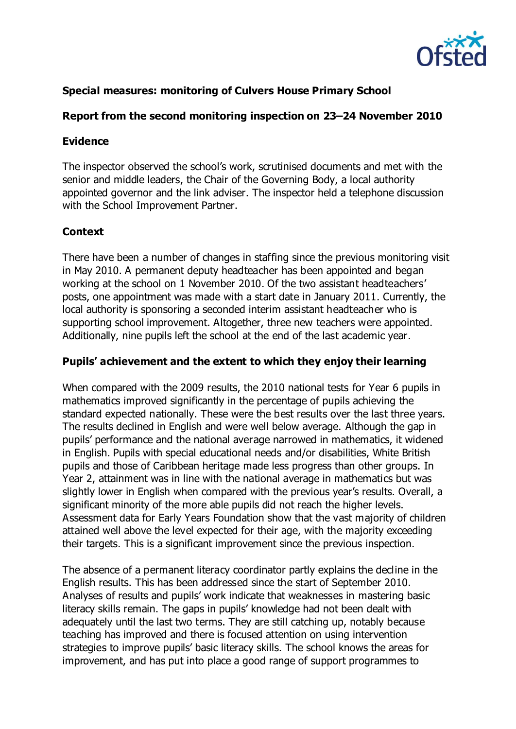

# **Special measures: monitoring of Culvers House Primary School**

## **Report from the second monitoring inspection on 23–24 November 2010**

#### **Evidence**

The inspector observed the school's work, scrutinised documents and met with the senior and middle leaders, the Chair of the Governing Body, a local authority appointed governor and the link adviser. The inspector held a telephone discussion with the School Improvement Partner.

#### **Context**

There have been a number of changes in staffing since the previous monitoring visit in May 2010. A permanent deputy headteacher has been appointed and began working at the school on 1 November 2010. Of the two assistant headteachers' posts, one appointment was made with a start date in January 2011. Currently, the local authority is sponsoring a seconded interim assistant headteacher who is supporting school improvement. Altogether, three new teachers were appointed. Additionally, nine pupils left the school at the end of the last academic year.

#### **Pupils' achievement and the extent to which they enjoy their learning**

When compared with the 2009 results, the 2010 national tests for Year 6 pupils in mathematics improved significantly in the percentage of pupils achieving the standard expected nationally. These were the best results over the last three years. The results declined in English and were well below average. Although the gap in pupils' performance and the national average narrowed in mathematics, it widened in English. Pupils with special educational needs and/or disabilities, White British pupils and those of Caribbean heritage made less progress than other groups. In Year 2, attainment was in line with the national average in mathematics but was slightly lower in English when compared with the previous year's results. Overall, a significant minority of the more able pupils did not reach the higher levels. Assessment data for Early Years Foundation show that the vast majority of children attained well above the level expected for their age, with the majority exceeding their targets. This is a significant improvement since the previous inspection.

The absence of a permanent literacy coordinator partly explains the decline in the English results. This has been addressed since the start of September 2010. Analyses of results and pupils' work indicate that weaknesses in mastering basic literacy skills remain. The gaps in pupils' knowledge had not been dealt with adequately until the last two terms. They are still catching up, notably because teaching has improved and there is focused attention on using intervention strategies to improve pupils' basic literacy skills. The school knows the areas for improvement, and has put into place a good range of support programmes to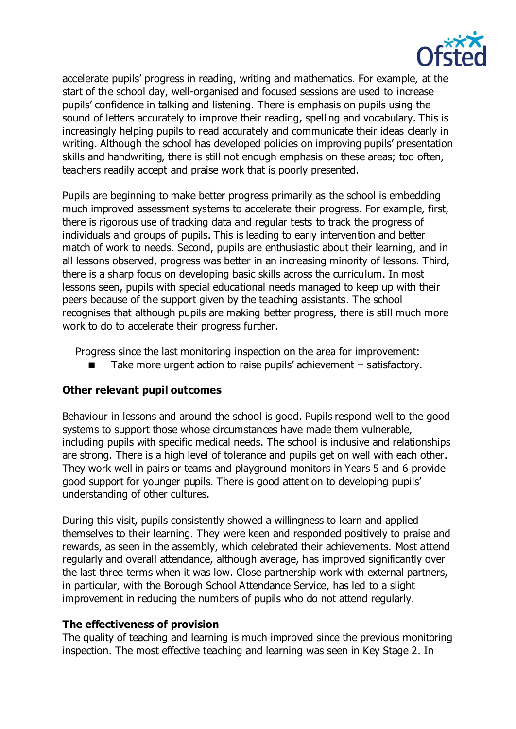

accelerate pupils' progress in reading, writing and mathematics. For example, at the start of the school day, well-organised and focused sessions are used to increase pupils' confidence in talking and listening. There is emphasis on pupils using the sound of letters accurately to improve their reading, spelling and vocabulary. This is increasingly helping pupils to read accurately and communicate their ideas clearly in writing. Although the school has developed policies on improving pupils' presentation skills and handwriting, there is still not enough emphasis on these areas; too often, teachers readily accept and praise work that is poorly presented.

Pupils are beginning to make better progress primarily as the school is embedding much improved assessment systems to accelerate their progress. For example, first, there is rigorous use of tracking data and regular tests to track the progress of individuals and groups of pupils. This is leading to early intervention and better match of work to needs. Second, pupils are enthusiastic about their learning, and in all lessons observed, progress was better in an increasing minority of lessons. Third, there is a sharp focus on developing basic skills across the curriculum. In most lessons seen, pupils with special educational needs managed to keep up with their peers because of the support given by the teaching assistants. The school recognises that although pupils are making better progress, there is still much more work to do to accelerate their progress further.

Progress since the last monitoring inspection on the area for improvement:

Take more urgent action to raise pupils' achievement – satisfactory.

# **Other relevant pupil outcomes**

Behaviour in lessons and around the school is good. Pupils respond well to the good systems to support those whose circumstances have made them vulnerable, including pupils with specific medical needs. The school is inclusive and relationships are strong. There is a high level of tolerance and pupils get on well with each other. They work well in pairs or teams and playground monitors in Years 5 and 6 provide good support for younger pupils. There is good attention to developing pupils' understanding of other cultures.

During this visit, pupils consistently showed a willingness to learn and applied themselves to their learning. They were keen and responded positively to praise and rewards, as seen in the assembly, which celebrated their achievements. Most attend regularly and overall attendance, although average, has improved significantly over the last three terms when it was low. Close partnership work with external partners, in particular, with the Borough School Attendance Service, has led to a slight improvement in reducing the numbers of pupils who do not attend regularly.

#### **The effectiveness of provision**

The quality of teaching and learning is much improved since the previous monitoring inspection. The most effective teaching and learning was seen in Key Stage 2. In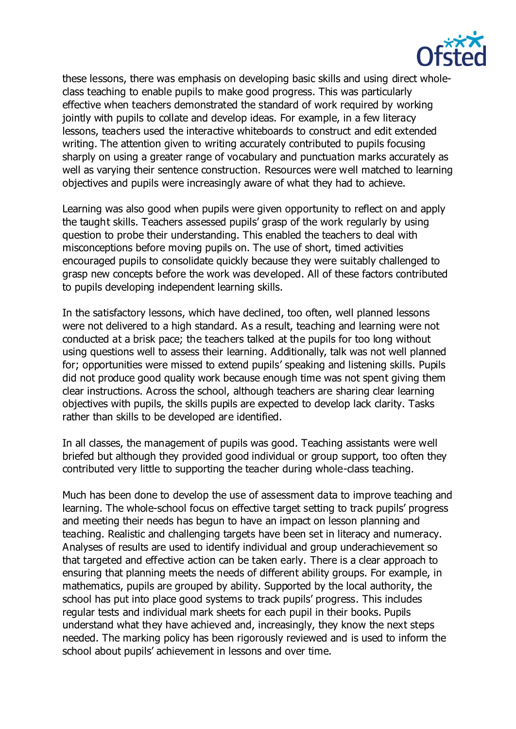

these lessons, there was emphasis on developing basic skills and using direct wholeclass teaching to enable pupils to make good progress. This was particularly effective when teachers demonstrated the standard of work required by working jointly with pupils to collate and develop ideas. For example, in a few literacy lessons, teachers used the interactive whiteboards to construct and edit extended writing. The attention given to writing accurately contributed to pupils focusing sharply on using a greater range of vocabulary and punctuation marks accurately as well as varying their sentence construction. Resources were well matched to learning objectives and pupils were increasingly aware of what they had to achieve.

Learning was also good when pupils were given opportunity to reflect on and apply the taught skills. Teachers assessed pupils' grasp of the work regularly by using question to probe their understanding. This enabled the teachers to deal with misconceptions before moving pupils on. The use of short, timed activities encouraged pupils to consolidate quickly because they were suitably challenged to grasp new concepts before the work was developed. All of these factors contributed to pupils developing independent learning skills.

In the satisfactory lessons, which have declined, too often, well planned lessons were not delivered to a high standard. As a result, teaching and learning were not conducted at a brisk pace; the teachers talked at the pupils for too long without using questions well to assess their learning. Additionally, talk was not well planned for; opportunities were missed to extend pupils' speaking and listening skills. Pupils did not produce good quality work because enough time was not spent giving them clear instructions. Across the school, although teachers are sharing clear learning objectives with pupils, the skills pupils are expected to develop lack clarity. Tasks rather than skills to be developed are identified.

In all classes, the management of pupils was good. Teaching assistants were well briefed but although they provided good individual or group support, too often they contributed very little to supporting the teacher during whole-class teaching.

Much has been done to develop the use of assessment data to improve teaching and learning. The whole-school focus on effective target setting to track pupils' progress and meeting their needs has begun to have an impact on lesson planning and teaching. Realistic and challenging targets have been set in literacy and numeracy. Analyses of results are used to identify individual and group underachievement so that targeted and effective action can be taken early. There is a clear approach to ensuring that planning meets the needs of different ability groups. For example, in mathematics, pupils are grouped by ability. Supported by the local authority, the school has put into place good systems to track pupils' progress. This includes regular tests and individual mark sheets for each pupil in their books. Pupils understand what they have achieved and, increasingly, they know the next steps needed. The marking policy has been rigorously reviewed and is used to inform the school about pupils' achievement in lessons and over time.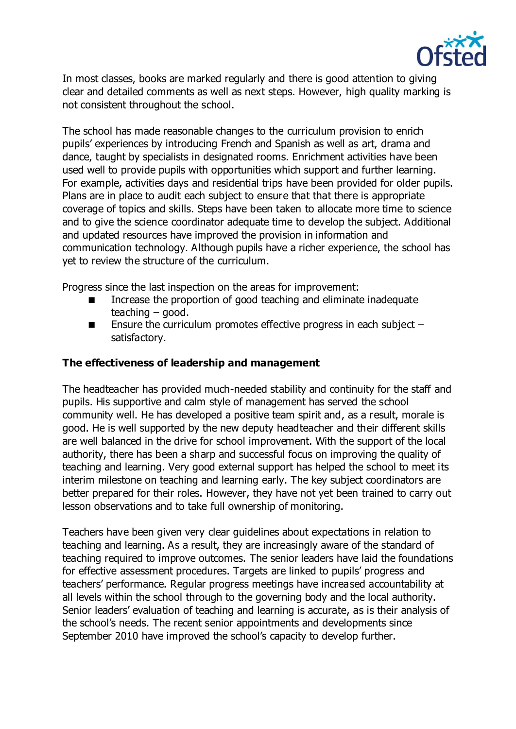

In most classes, books are marked regularly and there is good attention to giving clear and detailed comments as well as next steps. However, high quality marking is not consistent throughout the school.

The school has made reasonable changes to the curriculum provision to enrich pupils' experiences by introducing French and Spanish as well as art, drama and dance, taught by specialists in designated rooms. Enrichment activities have been used well to provide pupils with opportunities which support and further learning. For example, activities days and residential trips have been provided for older pupils. Plans are in place to audit each subject to ensure that that there is appropriate coverage of topics and skills. Steps have been taken to allocate more time to science and to give the science coordinator adequate time to develop the subject. Additional and updated resources have improved the provision in information and communication technology. Although pupils have a richer experience, the school has yet to review the structure of the curriculum.

Progress since the last inspection on the areas for improvement:

- Increase the proportion of good teaching and eliminate inadequate teaching – good.
- **Ensure the curriculum promotes effective progress in each subject** satisfactory.

#### **The effectiveness of leadership and management**

The headteacher has provided much-needed stability and continuity for the staff and pupils. His supportive and calm style of management has served the school community well. He has developed a positive team spirit and, as a result, morale is good. He is well supported by the new deputy headteacher and their different skills are well balanced in the drive for school improvement. With the support of the local authority, there has been a sharp and successful focus on improving the quality of teaching and learning. Very good external support has helped the school to meet its interim milestone on teaching and learning early. The key subject coordinators are better prepared for their roles. However, they have not yet been trained to carry out lesson observations and to take full ownership of monitoring.

Teachers have been given very clear guidelines about expectations in relation to teaching and learning. As a result, they are increasingly aware of the standard of teaching required to improve outcomes. The senior leaders have laid the foundations for effective assessment procedures. Targets are linked to pupils' progress and teachers' performance. Regular progress meetings have increased accountability at all levels within the school through to the governing body and the local authority. Senior leaders' evaluation of teaching and learning is accurate, as is their analysis of the school's needs. The recent senior appointments and developments since September 2010 have improved the school's capacity to develop further.